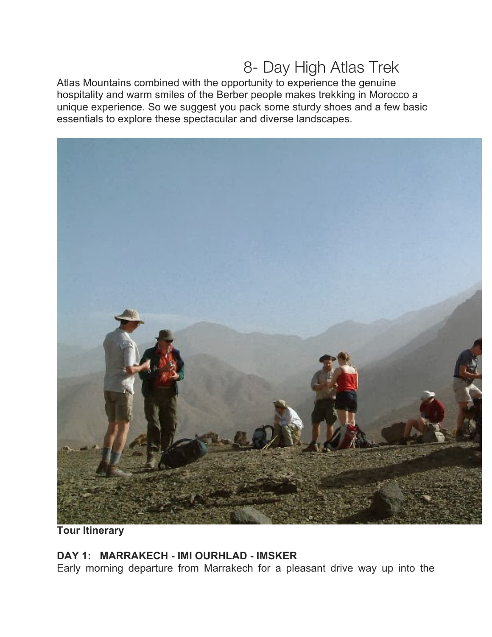# 8- Day High Atlas Trek

Atlas Mountains combined with the opportunity to experience the genuine hospitality and warm smiles of the Berber people makes trekking in Morocco a unique experience. So we suggest you pack some sturdy shoes and a few basic essentials to explore these spectacular and diverse landscapes.



**Tour Itinerary**

## **DAY 1: MARRAKECH - IMI OURHLAD - IMSKER**

Early morning departure from Marrakech for a pleasant drive way up into the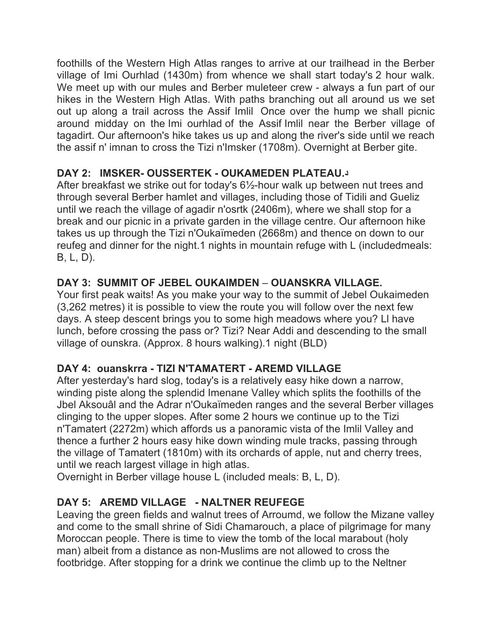foothills of the Western High Atlas ranges to arrive at our trailhead in the Berber village of Imi Ourhlad (1430m) from whence we shall start today's 2 hour walk. We meet up with our mules and Berber muleteer crew - always a fun part of our hikes in the Western High Atlas. With paths branching out all around us we set out up along a trail across the Assif Imlil Once over the hump we shall picnic around midday on the Imi ourhlad of the Assif Imlil near the Berber village of tagadirt. Our afternoon's hike takes us up and along the river's side until we reach the assif n' imnan to cross the Tizi n'Imsker (1708m). Overnight at Berber gite.

## **DAY 2: IMSKER- OUSSERTEK - OUKAMEDEN PLATEAU.د**

After breakfast we strike out for today's 6½-hour walk up between nut trees and through several Berber hamlet and villages, including those of Tidili and Gueliz until we reach the village of agadir n'osrtk (2406m), where we shall stop for a break and our picnic in a private garden in the village centre. Our afternoon hike takes us up through the Tizi n'Oukaïmeden (2668m) and thence on down to our reufeg and dinner for the night.1 nights in mountain refuge with L (includedmeals: B, L, D).

## **DAY 3: SUMMIT OF JEBEL OUKAIMDEN** – **OUANSKRA VILLAGE.**

Your first peak waits! As you make your way to the summit of Jebel Oukaimeden (3,262 metres) it is possible to view the route you will follow over the next few days. A steep descent brings you to some high meadows where you? Ll have lunch, before crossing the pass or? Tizi? Near Addi and descending to the small village of ounskra. (Approx. 8 hours walking).1 night (BLD)

# **DAY 4: ouanskrra - TIZI N'TAMATERT - AREMD VILLAGE**

After yesterday's hard slog, today's is a relatively easy hike down a narrow, winding piste along the splendid Imenane Valley which splits the foothills of the Jbel Aksouâl and the Adrar n'Oukaïmeden ranges and the several Berber villages clinging to the upper slopes. After some 2 hours we continue up to the Tizi n'Tamatert (2272m) which affords us a panoramic vista of the Imlil Valley and thence a further 2 hours easy hike down winding mule tracks, passing through the village of Tamatert (1810m) with its orchards of apple, nut and cherry trees, until we reach largest village in high atlas.

Overnight in Berber village house L (included meals: B, L, D).

# **DAY 5: AREMD VILLAGE - NALTNER REUFEGE**

Leaving the green fields and walnut trees of Arroumd, we follow the Mizane valley and come to the small shrine of Sidi Chamarouch, a place of pilgrimage for many Moroccan people. There is time to view the tomb of the local marabout (holy man) albeit from a distance as non-Muslims are not allowed to cross the footbridge. After stopping for a drink we continue the climb up to the Neltner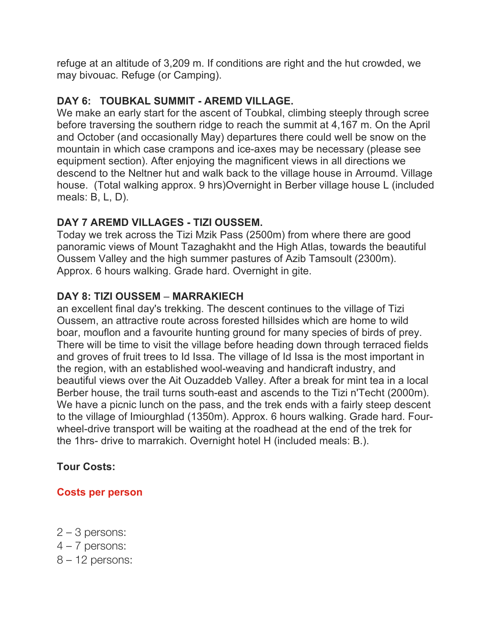refuge at an altitude of 3,209 m. If conditions are right and the hut crowded, we may bivouac. Refuge (or Camping).

# **DAY 6: TOUBKAL SUMMIT - AREMD VILLAGE.**

We make an early start for the ascent of Toubkal, climbing steeply through scree before traversing the southern ridge to reach the summit at 4,167 m. On the April and October (and occasionally May) departures there could well be snow on the mountain in which case crampons and ice-axes may be necessary (please see equipment section). After enjoying the magnificent views in all directions we descend to the Neltner hut and walk back to the village house in Arroumd. Village house. (Total walking approx. 9 hrs)Overnight in Berber village house L (included meals: B, L, D).

# **DAY 7 AREMD VILLAGES - TIZI OUSSEM.**

Today we trek across the Tizi Mzik Pass (2500m) from where there are good panoramic views of Mount Tazaghakht and the High Atlas, towards the beautiful Oussem Valley and the high summer pastures of Azib Tamsoult (2300m). Approx. 6 hours walking. Grade hard. Overnight in gite.

# **DAY 8: TIZI OUSSEM** – **MARRAKIECH**

an excellent final day's trekking. The descent continues to the village of Tizi Oussem, an attractive route across forested hillsides which are home to wild boar, mouflon and a favourite hunting ground for many species of birds of prey. There will be time to visit the village before heading down through terraced fields and groves of fruit trees to Id Issa. The village of Id Issa is the most important in the region, with an established wool-weaving and handicraft industry, and beautiful views over the Ait Ouzaddeb Valley. After a break for mint tea in a local Berber house, the trail turns south-east and ascends to the Tizi n'Techt (2000m). We have a picnic lunch on the pass, and the trek ends with a fairly steep descent to the village of Imiourghlad (1350m). Approx. 6 hours walking. Grade hard. Fourwheel-drive transport will be waiting at the roadhead at the end of the trek for the 1hrs- drive to marrakich. Overnight hotel H (included meals: B.).

# **Tour Costs:**

## **Costs per person**

- 2 3 persons:
- 4 7 persons:
- 8 12 persons: